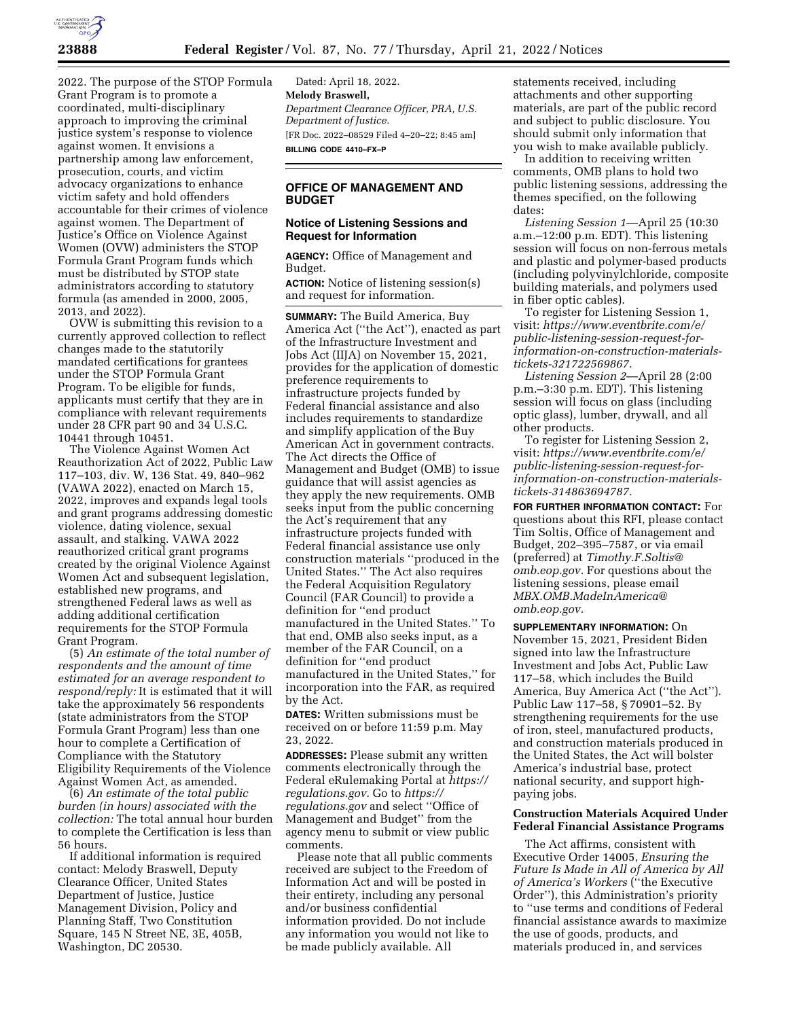

2022. The purpose of the STOP Formula Grant Program is to promote a coordinated, multi-disciplinary approach to improving the criminal justice system's response to violence against women. It envisions a partnership among law enforcement, prosecution, courts, and victim advocacy organizations to enhance victim safety and hold offenders accountable for their crimes of violence against women. The Department of Justice's Office on Violence Against Women (OVW) administers the STOP Formula Grant Program funds which must be distributed by STOP state administrators according to statutory formula (as amended in 2000, 2005, 2013, and 2022).

OVW is submitting this revision to a currently approved collection to reflect changes made to the statutorily mandated certifications for grantees under the STOP Formula Grant Program. To be eligible for funds, applicants must certify that they are in compliance with relevant requirements under 28 CFR part 90 and 34 U.S.C. 10441 through 10451.

The Violence Against Women Act Reauthorization Act of 2022, Public Law 117–103, div. W, 136 Stat. 49, 840–962 (VAWA 2022), enacted on March 15, 2022, improves and expands legal tools and grant programs addressing domestic violence, dating violence, sexual assault, and stalking. VAWA 2022 reauthorized critical grant programs created by the original Violence Against Women Act and subsequent legislation, established new programs, and strengthened Federal laws as well as adding additional certification requirements for the STOP Formula Grant Program.

(5) *An estimate of the total number of respondents and the amount of time estimated for an average respondent to respond/reply:* It is estimated that it will take the approximately 56 respondents (state administrators from the STOP Formula Grant Program) less than one hour to complete a Certification of Compliance with the Statutory Eligibility Requirements of the Violence Against Women Act, as amended.

(6) *An estimate of the total public burden (in hours) associated with the collection:* The total annual hour burden to complete the Certification is less than 56 hours.

If additional information is required contact: Melody Braswell, Deputy Clearance Officer, United States Department of Justice, Justice Management Division, Policy and Planning Staff, Two Constitution Square, 145 N Street NE, 3E, 405B, Washington, DC 20530.

Dated: April 18, 2022. **Melody Braswell,**  *Department Clearance Officer, PRA, U.S. Department of Justice.*  [FR Doc. 2022–08529 Filed 4–20–22; 8:45 am] **BILLING CODE 4410–FX–P** 

# **OFFICE OF MANAGEMENT AND BUDGET**

### **Notice of Listening Sessions and Request for Information**

**AGENCY:** Office of Management and Budget.

**ACTION:** Notice of listening session(s) and request for information.

**SUMMARY:** The Build America, Buy America Act (''the Act''), enacted as part of the Infrastructure Investment and Jobs Act (IIJA) on November 15, 2021, provides for the application of domestic preference requirements to infrastructure projects funded by Federal financial assistance and also includes requirements to standardize and simplify application of the Buy American Act in government contracts. The Act directs the Office of Management and Budget (OMB) to issue guidance that will assist agencies as they apply the new requirements. OMB seeks input from the public concerning the Act's requirement that any infrastructure projects funded with Federal financial assistance use only construction materials ''produced in the United States.'' The Act also requires the Federal Acquisition Regulatory Council (FAR Council) to provide a definition for ''end product manufactured in the United States.'' To that end, OMB also seeks input, as a member of the FAR Council, on a definition for ''end product manufactured in the United States,'' for incorporation into the FAR, as required by the Act.

**DATES:** Written submissions must be received on or before 11:59 p.m. May 23, 2022.

**ADDRESSES:** Please submit any written comments electronically through the Federal eRulemaking Portal at *[https://](https://regulations.gov) [regulations.gov.](https://regulations.gov)* Go to *[https://](https://regulations.gov) [regulations.gov](https://regulations.gov)* and select ''Office of Management and Budget'' from the agency menu to submit or view public comments.

Please note that all public comments received are subject to the Freedom of Information Act and will be posted in their entirety, including any personal and/or business confidential information provided. Do not include any information you would not like to be made publicly available. All

statements received, including attachments and other supporting materials, are part of the public record and subject to public disclosure. You should submit only information that you wish to make available publicly.

In addition to receiving written comments, OMB plans to hold two public listening sessions, addressing the themes specified, on the following dates:

*Listening Session 1*—April 25 (10:30 a.m.–12:00 p.m. EDT). This listening session will focus on non-ferrous metals and plastic and polymer-based products (including polyvinylchloride, composite building materials, and polymers used in fiber optic cables).

To register for Listening Session 1, visit: *[https://www.eventbrite.com/e/](https://www.eventbrite.com/e/public-listening-session-request-for-information-on-construction-materials-tickets-321722569867)  [public-listening-session-request-for](https://www.eventbrite.com/e/public-listening-session-request-for-information-on-construction-materials-tickets-321722569867)[information-on-construction-materials](https://www.eventbrite.com/e/public-listening-session-request-for-information-on-construction-materials-tickets-321722569867)[tickets-321722569867.](https://www.eventbrite.com/e/public-listening-session-request-for-information-on-construction-materials-tickets-321722569867)* 

*Listening Session 2*—April 28 (2:00 p.m.–3:30 p.m. EDT). This listening session will focus on glass (including optic glass), lumber, drywall, and all other products.

To register for Listening Session 2, visit: *[https://www.eventbrite.com/e/](https://www.eventbrite.com/e/public-listening-session-request-for-information-on-construction-materials-tickets-314863694787)  [public-listening-session-request-for](https://www.eventbrite.com/e/public-listening-session-request-for-information-on-construction-materials-tickets-314863694787)[information-on-construction-materials](https://www.eventbrite.com/e/public-listening-session-request-for-information-on-construction-materials-tickets-314863694787)[tickets-314863694787.](https://www.eventbrite.com/e/public-listening-session-request-for-information-on-construction-materials-tickets-314863694787)* 

**FOR FURTHER INFORMATION CONTACT:** For questions about this RFI, please contact Tim Soltis, Office of Management and Budget, 202–395–7587, or via email (preferred) at *[Timothy.F.Soltis@](mailto:Timothy.F.Soltis@omb.eop.gov) [omb.eop.gov.](mailto:Timothy.F.Soltis@omb.eop.gov)* For questions about the listening sessions, please email *[MBX.OMB.MadeInAmerica@](mailto:MBX.OMB.MadeInAmerica@omb.eop.gov) [omb.eop.gov.](mailto:MBX.OMB.MadeInAmerica@omb.eop.gov)* 

**SUPPLEMENTARY INFORMATION:** On November 15, 2021, President Biden signed into law the Infrastructure Investment and Jobs Act, Public Law 117–58, which includes the Build America, Buy America Act (''the Act''). Public Law 117–58, § 70901–52. By strengthening requirements for the use of iron, steel, manufactured products, and construction materials produced in the United States, the Act will bolster America's industrial base, protect national security, and support highpaying jobs.

# **Construction Materials Acquired Under Federal Financial Assistance Programs**

The Act affirms, consistent with Executive Order 14005, *Ensuring the Future Is Made in All of America by All of America's Workers* (''the Executive Order''), this Administration's priority to ''use terms and conditions of Federal financial assistance awards to maximize the use of goods, products, and materials produced in, and services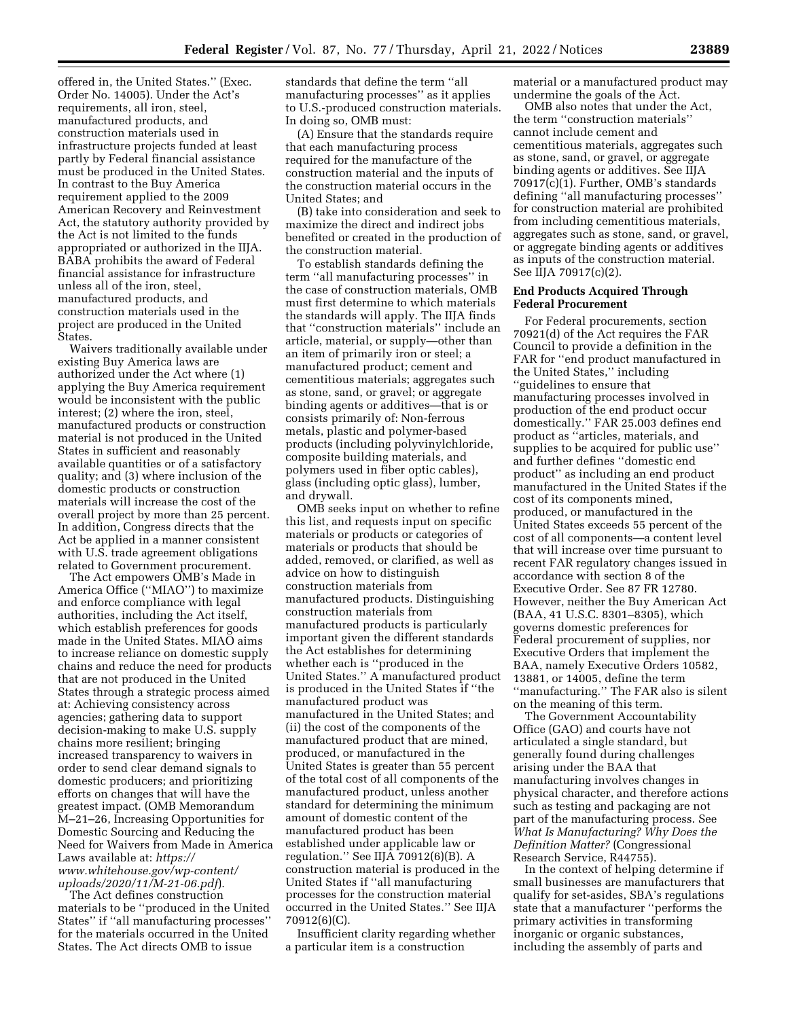offered in, the United States.'' (Exec. Order No. 14005). Under the Act's requirements, all iron, steel, manufactured products, and construction materials used in infrastructure projects funded at least partly by Federal financial assistance must be produced in the United States. In contrast to the Buy America requirement applied to the 2009 American Recovery and Reinvestment Act, the statutory authority provided by the Act is not limited to the funds appropriated or authorized in the IIJA. BABA prohibits the award of Federal financial assistance for infrastructure unless all of the iron, steel, manufactured products, and construction materials used in the project are produced in the United **States** 

Waivers traditionally available under existing Buy America laws are authorized under the Act where (1) applying the Buy America requirement would be inconsistent with the public interest; (2) where the iron, steel, manufactured products or construction material is not produced in the United States in sufficient and reasonably available quantities or of a satisfactory quality; and (3) where inclusion of the domestic products or construction materials will increase the cost of the overall project by more than 25 percent. In addition, Congress directs that the Act be applied in a manner consistent with U.S. trade agreement obligations related to Government procurement.

The Act empowers OMB's Made in America Office (''MIAO'') to maximize and enforce compliance with legal authorities, including the Act itself, which establish preferences for goods made in the United States. MIAO aims to increase reliance on domestic supply chains and reduce the need for products that are not produced in the United States through a strategic process aimed at: Achieving consistency across agencies; gathering data to support decision-making to make U.S. supply chains more resilient; bringing increased transparency to waivers in order to send clear demand signals to domestic producers; and prioritizing efforts on changes that will have the greatest impact. (OMB Memorandum M–21–26, Increasing Opportunities for Domestic Sourcing and Reducing the Need for Waivers from Made in America Laws available at: *[https://](https://www.whitehouse.gov/wp-content/uploads/2020/11/M-21-06.pdf) [www.whitehouse.gov/wp-content/](https://www.whitehouse.gov/wp-content/uploads/2020/11/M-21-06.pdf) [uploads/2020/11/M-21-06.pdf](https://www.whitehouse.gov/wp-content/uploads/2020/11/M-21-06.pdf)*).

The Act defines construction materials to be ''produced in the United States'' if ''all manufacturing processes'' for the materials occurred in the United States. The Act directs OMB to issue

standards that define the term ''all manufacturing processes'' as it applies to U.S.-produced construction materials. In doing so, OMB must:

(A) Ensure that the standards require that each manufacturing process required for the manufacture of the construction material and the inputs of the construction material occurs in the United States; and

(B) take into consideration and seek to maximize the direct and indirect jobs benefited or created in the production of the construction material.

To establish standards defining the term ''all manufacturing processes'' in the case of construction materials, OMB must first determine to which materials the standards will apply. The IIJA finds that ''construction materials'' include an article, material, or supply—other than an item of primarily iron or steel; a manufactured product; cement and cementitious materials; aggregates such as stone, sand, or gravel; or aggregate binding agents or additives—that is or consists primarily of: Non-ferrous metals, plastic and polymer-based products (including polyvinylchloride, composite building materials, and polymers used in fiber optic cables), glass (including optic glass), lumber, and drywall.

OMB seeks input on whether to refine this list, and requests input on specific materials or products or categories of materials or products that should be added, removed, or clarified, as well as advice on how to distinguish construction materials from manufactured products. Distinguishing construction materials from manufactured products is particularly important given the different standards the Act establishes for determining whether each is ''produced in the United States.'' A manufactured product is produced in the United States if ''the manufactured product was manufactured in the United States; and (ii) the cost of the components of the manufactured product that are mined, produced, or manufactured in the United States is greater than 55 percent of the total cost of all components of the manufactured product, unless another standard for determining the minimum amount of domestic content of the manufactured product has been established under applicable law or regulation.'' See IIJA 70912(6)(B). A construction material is produced in the United States if ''all manufacturing processes for the construction material occurred in the United States.'' See IIJA 70912(6)(C).

Insufficient clarity regarding whether a particular item is a construction

material or a manufactured product may undermine the goals of the Act.

OMB also notes that under the Act, the term ''construction materials'' cannot include cement and cementitious materials, aggregates such as stone, sand, or gravel, or aggregate binding agents or additives. See IIJA 70917(c)(1). Further, OMB's standards defining ''all manufacturing processes'' for construction material are prohibited from including cementitious materials, aggregates such as stone, sand, or gravel, or aggregate binding agents or additives as inputs of the construction material. See IIJA 70917(c)(2).

#### **End Products Acquired Through Federal Procurement**

For Federal procurements, section 70921(d) of the Act requires the FAR Council to provide a definition in the FAR for ''end product manufactured in the United States,'' including ''guidelines to ensure that manufacturing processes involved in production of the end product occur domestically.'' FAR 25.003 defines end product as ''articles, materials, and supplies to be acquired for public use'' and further defines ''domestic end product'' as including an end product manufactured in the United States if the cost of its components mined, produced, or manufactured in the United States exceeds 55 percent of the cost of all components—a content level that will increase over time pursuant to recent FAR regulatory changes issued in accordance with section 8 of the Executive Order. See 87 FR 12780. However, neither the Buy American Act (BAA, 41 U.S.C. 8301–8305), which governs domestic preferences for Federal procurement of supplies, nor Executive Orders that implement the BAA, namely Executive Orders 10582, 13881, or 14005, define the term ''manufacturing.'' The FAR also is silent on the meaning of this term.

The Government Accountability Office (GAO) and courts have not articulated a single standard, but generally found during challenges arising under the BAA that manufacturing involves changes in physical character, and therefore actions such as testing and packaging are not part of the manufacturing process. See *What Is Manufacturing? Why Does the Definition Matter?* (Congressional Research Service, R44755).

In the context of helping determine if small businesses are manufacturers that qualify for set-asides, SBA's regulations state that a manufacturer ''performs the primary activities in transforming inorganic or organic substances, including the assembly of parts and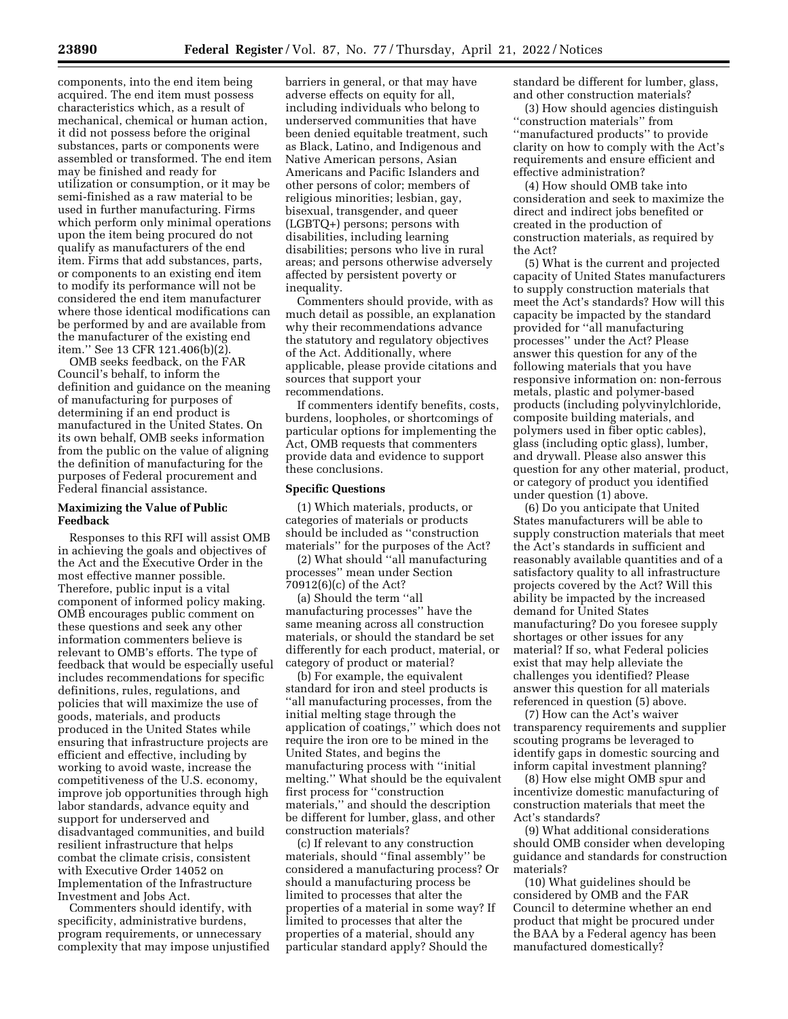components, into the end item being acquired. The end item must possess characteristics which, as a result of mechanical, chemical or human action, it did not possess before the original substances, parts or components were assembled or transformed. The end item may be finished and ready for utilization or consumption, or it may be semi-finished as a raw material to be used in further manufacturing. Firms which perform only minimal operations upon the item being procured do not qualify as manufacturers of the end item. Firms that add substances, parts, or components to an existing end item to modify its performance will not be considered the end item manufacturer where those identical modifications can be performed by and are available from the manufacturer of the existing end item.'' See 13 CFR 121.406(b)(2).

OMB seeks feedback, on the FAR Council's behalf, to inform the definition and guidance on the meaning of manufacturing for purposes of determining if an end product is manufactured in the United States. On its own behalf, OMB seeks information from the public on the value of aligning the definition of manufacturing for the purposes of Federal procurement and Federal financial assistance.

# **Maximizing the Value of Public Feedback**

Responses to this RFI will assist OMB in achieving the goals and objectives of the Act and the Executive Order in the most effective manner possible. Therefore, public input is a vital component of informed policy making. OMB encourages public comment on these questions and seek any other information commenters believe is relevant to OMB's efforts. The type of feedback that would be especially useful includes recommendations for specific definitions, rules, regulations, and policies that will maximize the use of goods, materials, and products produced in the United States while ensuring that infrastructure projects are efficient and effective, including by working to avoid waste, increase the competitiveness of the U.S. economy, improve job opportunities through high labor standards, advance equity and support for underserved and disadvantaged communities, and build resilient infrastructure that helps combat the climate crisis, consistent with Executive Order 14052 on Implementation of the Infrastructure Investment and Jobs Act.

Commenters should identify, with specificity, administrative burdens, program requirements, or unnecessary complexity that may impose unjustified

barriers in general, or that may have adverse effects on equity for all, including individuals who belong to underserved communities that have been denied equitable treatment, such as Black, Latino, and Indigenous and Native American persons, Asian Americans and Pacific Islanders and other persons of color; members of religious minorities; lesbian, gay, bisexual, transgender, and queer (LGBTQ+) persons; persons with disabilities, including learning disabilities; persons who live in rural areas; and persons otherwise adversely affected by persistent poverty or inequality.

Commenters should provide, with as much detail as possible, an explanation why their recommendations advance the statutory and regulatory objectives of the Act. Additionally, where applicable, please provide citations and sources that support your recommendations.

If commenters identify benefits, costs, burdens, loopholes, or shortcomings of particular options for implementing the Act, OMB requests that commenters provide data and evidence to support these conclusions.

## **Specific Questions**

(1) Which materials, products, or categories of materials or products should be included as ''construction materials'' for the purposes of the Act?

(2) What should ''all manufacturing processes'' mean under Section 70912(6)(c) of the Act?

(a) Should the term ''all manufacturing processes'' have the same meaning across all construction materials, or should the standard be set differently for each product, material, or category of product or material?

(b) For example, the equivalent standard for iron and steel products is ''all manufacturing processes, from the initial melting stage through the application of coatings,'' which does not require the iron ore to be mined in the United States, and begins the manufacturing process with ''initial melting.'' What should be the equivalent first process for ''construction materials,'' and should the description be different for lumber, glass, and other construction materials?

(c) If relevant to any construction materials, should ''final assembly'' be considered a manufacturing process? Or should a manufacturing process be limited to processes that alter the properties of a material in some way? If limited to processes that alter the properties of a material, should any particular standard apply? Should the

standard be different for lumber, glass, and other construction materials?

(3) How should agencies distinguish ''construction materials'' from ''manufactured products'' to provide clarity on how to comply with the Act's requirements and ensure efficient and effective administration?

(4) How should OMB take into consideration and seek to maximize the direct and indirect jobs benefited or created in the production of construction materials, as required by the Act?

(5) What is the current and projected capacity of United States manufacturers to supply construction materials that meet the Act's standards? How will this capacity be impacted by the standard provided for ''all manufacturing processes'' under the Act? Please answer this question for any of the following materials that you have responsive information on: non-ferrous metals, plastic and polymer-based products (including polyvinylchloride, composite building materials, and polymers used in fiber optic cables), glass (including optic glass), lumber, and drywall. Please also answer this question for any other material, product, or category of product you identified under question (1) above.

(6) Do you anticipate that United States manufacturers will be able to supply construction materials that meet the Act's standards in sufficient and reasonably available quantities and of a satisfactory quality to all infrastructure projects covered by the Act? Will this ability be impacted by the increased demand for United States manufacturing? Do you foresee supply shortages or other issues for any material? If so, what Federal policies exist that may help alleviate the challenges you identified? Please answer this question for all materials referenced in question (5) above.

(7) How can the Act's waiver transparency requirements and supplier scouting programs be leveraged to identify gaps in domestic sourcing and inform capital investment planning?

(8) How else might OMB spur and incentivize domestic manufacturing of construction materials that meet the Act's standards?

(9) What additional considerations should OMB consider when developing guidance and standards for construction materials?

(10) What guidelines should be considered by OMB and the FAR Council to determine whether an end product that might be procured under the BAA by a Federal agency has been manufactured domestically?